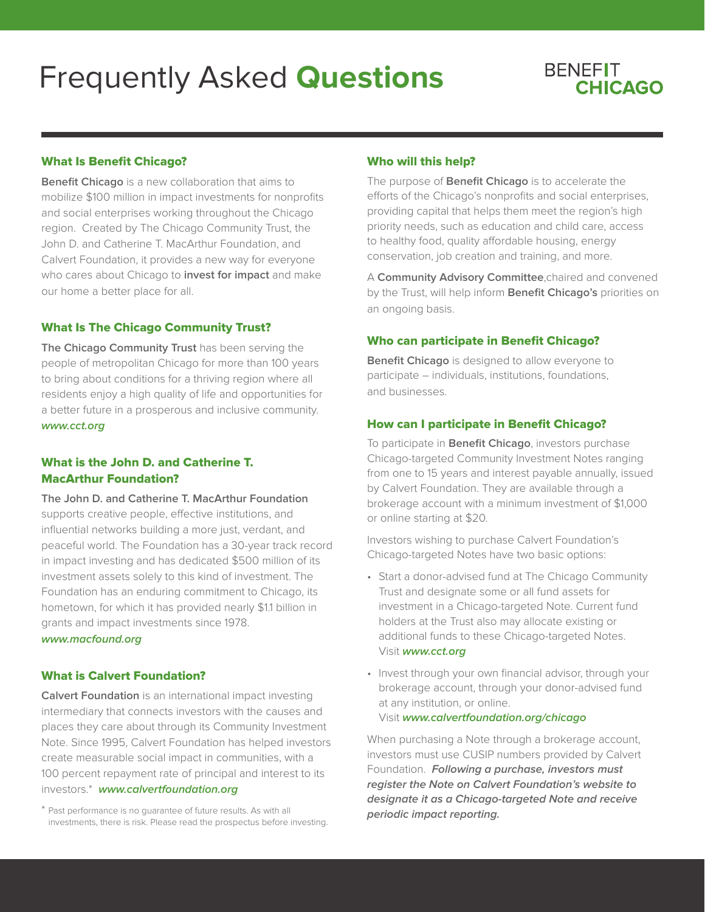# Frequently Asked **Questions**



# What Is Benefit Chicago?

**Benefit Chicago** is a new collaboration that aims to mobilize \$100 million in impact investments for nonprofits and social enterprises working throughout the Chicago region. Created by The Chicago Community Trust, the John D. and Catherine T. MacArthur Foundation, and Calvert Foundation, it provides a new way for everyone who cares about Chicago to **invest for impact** and make our home a better place for all.

#### What Is The Chicago Community Trust?

**The Chicago Community Trust** has been serving the people of metropolitan Chicago for more than 100 years to bring about conditions for a thriving region where all residents enjoy a high quality of life and opportunities for a better future in a prosperous and inclusive community. **www.cct.org**

# What is the John D. and Catherine T. MacArthur Foundation?

**The John D. and Catherine T. MacArthur Foundation** supports creative people, effective institutions, and influential networks building a more just, verdant, and peaceful world. The Foundation has a 30-year track record in impact investing and has dedicated \$500 million of its investment assets solely to this kind of investment. The Foundation has an enduring commitment to Chicago, its hometown, for which it has provided nearly \$1.1 billion in grants and impact investments since 1978. **www.macfound.org**

## What is Calvert Foundation?

**Calvert Foundation** is an international impact investing intermediary that connects investors with the causes and places they care about through its Community Investment Note. Since 1995, Calvert Foundation has helped investors create measurable social impact in communities, with a 100 percent repayment rate of principal and interest to its investors.\* **www.calvertfoundation.org**

## Who will this help?

The purpose of **Benefit Chicago** is to accelerate the efforts of the Chicago's nonprofits and social enterprises, providing capital that helps them meet the region's high priority needs, such as education and child care, access to healthy food, quality affordable housing, energy conservation, job creation and training, and more.

A **Community Advisory Committee**,chaired and convened by the Trust, will help inform **Benefit Chicago's** priorities on an ongoing basis.

### Who can participate in Benefit Chicago?

**Benefit Chicago** is designed to allow everyone to participate – individuals, institutions, foundations, and businesses.

# How can I participate in Benefit Chicago?

To participate in **Benefit Chicago**, investors purchase Chicago-targeted Community Investment Notes ranging from one to 15 years and interest payable annually, issued by Calvert Foundation. They are available through a brokerage account with a minimum investment of \$1,000 or online starting at \$20.

Investors wishing to purchase Calvert Foundation's Chicago-targeted Notes have two basic options:

- Start a donor-advised fund at The Chicago Community Trust and designate some or all fund assets for investment in a Chicago-targeted Note. Current fund holders at the Trust also may allocate existing or additional funds to these Chicago-targeted Notes. Visit **www.cct.org**
- Invest through your own financial advisor, through your brokerage account, through your donor-advised fund at any institution, or online.

#### Visit **www.calvertfoundation.org/chicago**

When purchasing a Note through a brokerage account, investors must use CUSIP numbers provided by Calvert Foundation. **Following a purchase, investors must register the Note on Calvert Foundation's website to designate it as a Chicago-targeted Note and receive periodic impact reporting.** 

<sup>\*</sup> Past performance is no guarantee of future results. As with all investments, there is risk. Please read the prospectus before investing.